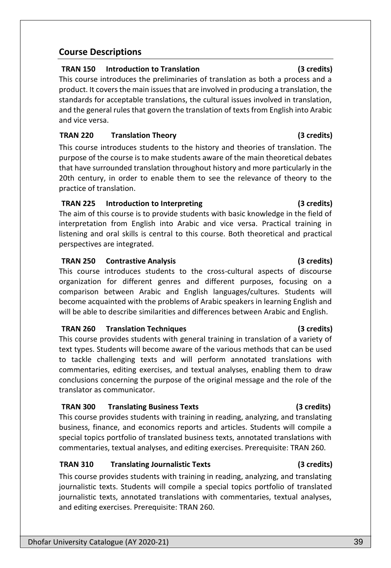# **Course Descriptions**

# **TRAN 150 Introduction to Translation (3 credits)**

This course introduces the preliminaries of translation as both a process and a product. It covers the main issues that are involved in producing a translation, the standards for acceptable translations, the cultural issues involved in translation, and the general rules that govern the translation of texts from English into Arabic and vice versa.

# **TRAN 220 Translation Theory (3 credits)**

This course introduces students to the history and theories of translation. The purpose of the course is to make students aware of the main theoretical debates that have surrounded translation throughout history and more particularly in the 20th century, in order to enable them to see the relevance of theory to the practice of translation.

# **TRAN 225 Introduction to Interpreting (3 credits)**

The aim of this course is to provide students with basic knowledge in the field of interpretation from English into Arabic and vice versa. Practical training in listening and oral skills is central to this course. Both theoretical and practical perspectives are integrated.

# **TRAN 250 Contrastive Analysis (3 credits)**

This course introduces students to the cross-cultural aspects of discourse organization for different genres and different purposes, focusing on a comparison between Arabic and English languages/cultures. Students will become acquainted with the problems of Arabic speakers in learning English and will be able to describe similarities and differences between Arabic and English.

# **TRAN 260 Translation Techniques (3 credits)**

This course provides students with general training in translation of a variety of text types. Students will become aware of the various methods that can be used to tackle challenging texts and will perform annotated translations with commentaries, editing exercises, and textual analyses, enabling them to draw conclusions concerning the purpose of the original message and the role of the translator as communicator.

# **TRAN 300 Translating Business Texts (3 credits)**

This course provides students with training in reading, analyzing, and translating business, finance, and economics reports and articles. Students will compile a special topics portfolio of translated business texts, annotated translations with commentaries, textual analyses, and editing exercises. Prerequisite: TRAN 260.

# **TRAN 310 Translating Journalistic Texts (3 credits)**

This course provides students with training in reading, analyzing, and translating journalistic texts. Students will compile a special topics portfolio of translated journalistic texts, annotated translations with commentaries, textual analyses, and editing exercises. Prerequisite: TRAN 260.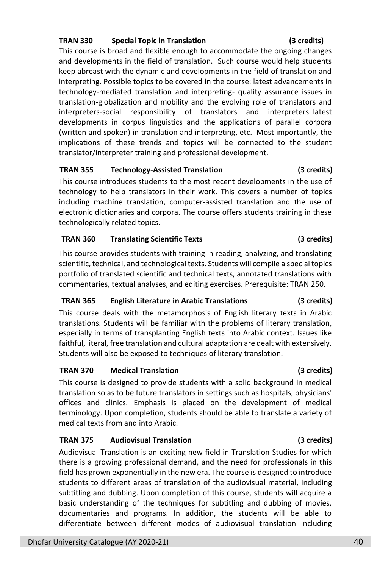### **TRAN 330 Special Topic in Translation (3 credits)**

### This course is broad and flexible enough to accommodate the ongoing changes and developments in the field of translation. Such course would help students keep abreast with the dynamic and developments in the field of translation and interpreting. Possible topics to be covered in the course: latest advancements in technology-mediated translation and interpreting- quality assurance issues in translation-globalization and mobility and the evolving role of translators and interpreters-social responsibility of translators and interpreters–latest developments in corpus linguistics and the applications of parallel corpora (written and spoken) in translation and interpreting, etc. Most importantly, the implications of these trends and topics will be connected to the student translator/interpreter training and professional development.

### **TRAN 355 Technology-Assisted Translation (3 credits)**

This course introduces students to the most recent developments in the use of technology to help translators in their work. This covers a number of topics including machine translation, computer-assisted translation and the use of electronic dictionaries and corpora. The course offers students training in these technologically related topics.

### **TRAN 360 Translating Scientific Texts (3 credits)**

This course provides students with training in reading, analyzing, and translating scientific, technical, and technological texts. Students will compile a special topics portfolio of translated scientific and technical texts, annotated translations with commentaries, textual analyses, and editing exercises. Prerequisite: TRAN 250*.*

### **TRAN 365 English Literature in Arabic Translations (3 credits)**

This course deals with the metamorphosis of English literary texts in Arabic translations. Students will be familiar with the problems of literary translation, especially in terms of transplanting English texts into Arabic context. Issues like faithful, literal, free translation and cultural adaptation are dealt with extensively. Students will also be exposed to techniques of literary translation.

### **TRAN 370 Medical Translation (3 credits)**

This course is designed to provide students with a solid background in medical translation so as to be future translators in settings such as hospitals, physicians' offices and clinics. Emphasis is placed on the development of medical terminology. Upon completion, students should be able to translate a variety of medical texts from and into Arabic.

### **TRAN 375 Audiovisual Translation (3 credits)**

Audiovisual Translation is an exciting new field in Translation Studies for which there is a growing professional demand, and the need for professionals in this field has grown exponentially in the new era. The course is designed to introduce students to different areas of translation of the audiovisual material, including subtitling and dubbing. Upon completion of this course, students will acquire a basic understanding of the techniques for subtitling and dubbing of movies, documentaries and programs. In addition, the students will be able to differentiate between different modes of audiovisual translation including